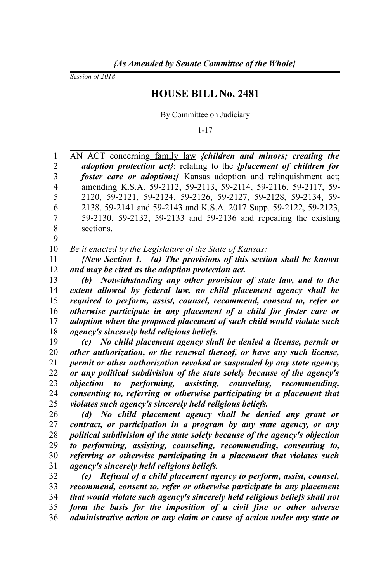*Session of 2018*

9

## **HOUSE BILL No. 2481**

By Committee on Judiciary

1-17

AN ACT concerning–family law *{children and minors; creating the adoption protection act}*; relating to the *{placement of children for foster care or adoption;*} Kansas adoption and relinquishment act; amending K.S.A. 59-2112, 59-2113, 59-2114, 59-2116, 59-2117, 59- 2120, 59-2121, 59-2124, 59-2126, 59-2127, 59-2128, 59-2134, 59- 2138, 59-2141 and 59-2143 and K.S.A. 2017 Supp. 59-2122, 59-2123, 59-2130, 59-2132, 59-2133 and 59-2136 and repealing the existing sections. 1 2 3 4 5 6 7 8

*Be it enacted by the Legislature of the State of Kansas:* 10

*{New Section 1. (a) The provisions of this section shall be known and may be cited as the adoption protection act.* 11 12

*(b) Notwithstanding any other provision of state law, and to the extent allowed by federal law, no child placement agency shall be required to perform, assist, counsel, recommend, consent to, refer or otherwise participate in any placement of a child for foster care or adoption when the proposed placement of such child would violate such agency's sincerely held religious beliefs.* 13 14 15 16 17 18

*(c) No child placement agency shall be denied a license, permit or other authorization, or the renewal thereof, or have any such license, permit or other authorization revoked or suspended by any state agency, or any political subdivision of the state solely because of the agency's objection to performing, assisting, counseling, recommending, consenting to, referring or otherwise participating in a placement that violates such agency's sincerely held religious beliefs.* 19 20 21 22 23 24 25

*(d) No child placement agency shall be denied any grant or contract, or participation in a program by any state agency, or any political subdivision of the state solely because of the agency's objection to performing, assisting, counseling, recommending, consenting to, referring or otherwise participating in a placement that violates such agency's sincerely held religious beliefs.* 26 27 28 29 30 31

*(e) Refusal of a child placement agency to perform, assist, counsel, recommend, consent to, refer or otherwise participate in any placement that would violate such agency's sincerely held religious beliefs shall not form the basis for the imposition of a civil fine or other adverse administrative action or any claim or cause of action under any state or* 32 33 34 35 36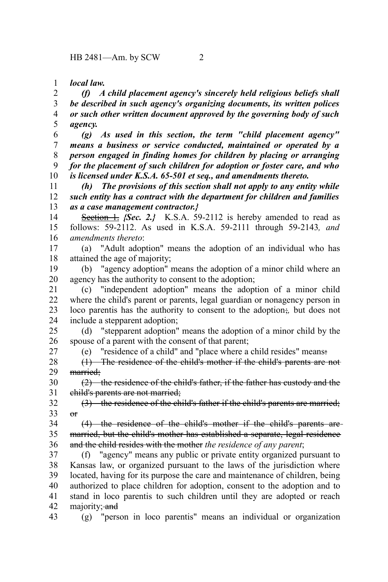HB 2481—Am. by SCW 2

*local law.* 1

*(f) A child placement agency's sincerely held religious beliefs shall be described in such agency's organizing documents, its written polices or such other written document approved by the governing body of such agency.* 2 3 4 5

*(g) As used in this section, the term "child placement agency" means a business or service conducted, maintained or operated by a person engaged in finding homes for children by placing or arranging for the placement of such children for adoption or foster care, and who is licensed under K.S.A. 65-501 et seq., and amendments thereto.* 6 7 8 9 10

*(h) The provisions of this section shall not apply to any entity while such entity has a contract with the department for children and families as a case management contractor.}* 11 12 13

**Section 1.** *{Sec. 2.}* K.S.A. 59-2112 is hereby amended to read as follows: 59-2112. As used in K.S.A. 59-2111 through 59-2143*, and amendments thereto*: 14 15 16

(a) "Adult adoption" means the adoption of an individual who has attained the age of majority; 17 18

(b) "agency adoption" means the adoption of a minor child where an agency has the authority to consent to the adoption; 19 20

(c) "independent adoption" means the adoption of a minor child where the child's parent or parents, legal guardian or nonagency person in loco parentis has the authority to consent to the adoption;*,* but does not include a stepparent adoption; 21 22 23 24

(d) "stepparent adoption" means the adoption of a minor child by the spouse of a parent with the consent of that parent; 25 26

27

(e) "residence of a child" and "place where a child resides" means:

(1) The residence of the child's mother if the child's parents are not married; 28 29

 $(2)$  the residence of the child's father, if the father has custody and the child's parents are not married; 30 31

(3) the residence of the child's father if the child's parents are married;  $\theta$ 32 33

(4) the residence of the child's mother if the child's parents are married, but the child's mother has established a separate, legal residence and the child resides with the mother *the residence of any parent*; 34 35 36

(f) "agency" means any public or private entity organized pursuant to Kansas law, or organized pursuant to the laws of the jurisdiction where located, having for its purpose the care and maintenance of children, being authorized to place children for adoption, consent to the adoption and to stand in loco parentis to such children until they are adopted or reach majority; and 37 38 39 40 41 42

(g) "person in loco parentis" means an individual or organization 43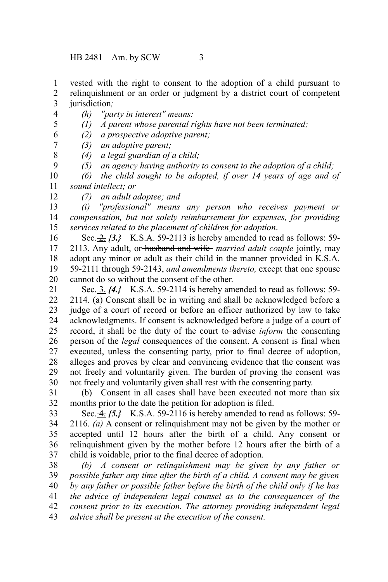HB 2481—Am. by SCW 3

vested with the right to consent to the adoption of a child pursuant to relinquishment or an order or judgment by a district court of competent jurisdiction*;* 1 2 3

- *(h) "party in interest" means:* 4
- *(1) A parent whose parental rights have not been terminated;* 5

*(2) a prospective adoptive parent;* 6

- *(3) an adoptive parent;* 7
	- *(4) a legal guardian of a child;*
	- *(5) an agency having authority to consent to the adoption of a child;*

*(6) the child sought to be adopted, if over 14 years of age and of sound intellect; or* 10 11

12

8 9

*(7) an adult adoptee; and*

*(i) "professional" means any person who receives payment or compensation, but not solely reimbursement for expenses, for providing services related to the placement of children for adoption*. 13 14 15

Sec. 2. *{3.}* K.S.A. 59-2113 is hereby amended to read as follows: 59- 2113. Any adult, or husband and wife *married adult couple* jointly, may adopt any minor or adult as their child in the manner provided in K.S.A. 59-2111 through 59-2143, *and amendments thereto,* except that one spouse cannot do so without the consent of the other. 16 17 18 19 20

Sec. 3. *{4.}* K.S.A. 59-2114 is hereby amended to read as follows: 59- 2114. (a) Consent shall be in writing and shall be acknowledged before a judge of a court of record or before an officer authorized by law to take acknowledgments. If consent is acknowledged before a judge of a court of record, it shall be the duty of the court to advise *inform* the consenting person of the *legal* consequences of the consent. A consent is final when executed, unless the consenting party, prior to final decree of adoption, alleges and proves by clear and convincing evidence that the consent was not freely and voluntarily given. The burden of proving the consent was not freely and voluntarily given shall rest with the consenting party. 21 22 23 24 25 26 27 28 29 30

(b) Consent in all cases shall have been executed not more than six months prior to the date the petition for adoption is filed. 31 32

Sec. 4. *{5.}* K.S.A. 59-2116 is hereby amended to read as follows: 59- 2116. *(a)* A consent or relinquishment may not be given by the mother or accepted until 12 hours after the birth of a child. Any consent or relinquishment given by the mother before 12 hours after the birth of a child is voidable, prior to the final decree of adoption. 33 34 35 36 37

*(b) A consent or relinquishment may be given by any father or possible father any time after the birth of a child. A consent may be given by any father or possible father before the birth of the child only if he has the advice of independent legal counsel as to the consequences of the consent prior to its execution. The attorney providing independent legal advice shall be present at the execution of the consent.* 38 39 40 41 42 43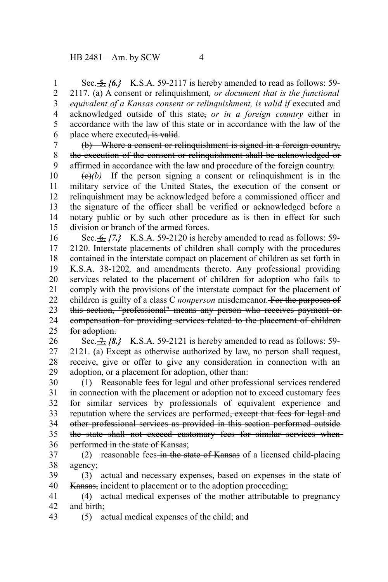Sec. 5. *{6.}* K.S.A. 59-2117 is hereby amended to read as follows: 59- 2117. (a) A consent or relinquishment*, or document that is the functional* equivalent of a Kansas consent or relinquishment, is valid if executed and acknowledged outside of this state, *or in a foreign country* either in accordance with the law of this state or in accordance with the law of the place where executed, is valid. 1 2 3 4 5 6

(b) Where a consent or relinquishment is signed in a foreign country, the execution of the consent or relinquishment shall be acknowledged or affirmed in accordance with the law and procedure of the foreign country. 7 8 9

 $(e)(b)$  If the person signing a consent or relinquishment is in the military service of the United States, the execution of the consent or relinquishment may be acknowledged before a commissioned officer and the signature of the officer shall be verified or acknowledged before a notary public or by such other procedure as is then in effect for such division or branch of the armed forces. 10 11 12 13 14 15

Sec. 6. *{7.}* K.S.A. 59-2120 is hereby amended to read as follows: 59- 2120. Interstate placements of children shall comply with the procedures contained in the interstate compact on placement of children as set forth in K.S.A. 38-1202*,* and amendments thereto. Any professional providing services related to the placement of children for adoption who fails to comply with the provisions of the interstate compact for the placement of children is guilty of a class C *nonperson* misdemeanor. For the purposes of this section, "professional" means any person who receives payment or compensation for providing services related to the placement of children for adoption. 16 17 18 19 20 21 22 23 24 25

Sec.  $\pm$  *{8.}* K.S.A. 59-2121 is hereby amended to read as follows: 59-2121. (a) Except as otherwise authorized by law, no person shall request, receive, give or offer to give any consideration in connection with an adoption, or a placement for adoption, other than: 26 27 28 29

(1) Reasonable fees for legal and other professional services rendered in connection with the placement or adoption not to exceed customary fees for similar services by professionals of equivalent experience and reputation where the services are performed<del>, except that fees for legal and</del> other professional services as provided in this section performed outside the state shall not exceed customary fees for similar services when performed in the state of Kansas; 30 31 32 33 34 35 36

(2) reasonable fees in the state of Kansas of a licensed child-placing agency; 37 38

(3) actual and necessary expenses, based on expenses in the state of Kansas, incident to placement or to the adoption proceeding; 39 40

(4) actual medical expenses of the mother attributable to pregnancy and birth; 41 42

(5) actual medical expenses of the child; and 43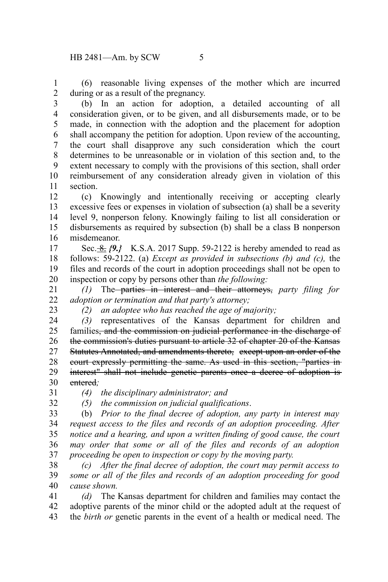(6) reasonable living expenses of the mother which are incurred during or as a result of the pregnancy. 1 2

(b) In an action for adoption, a detailed accounting of all consideration given, or to be given, and all disbursements made, or to be made, in connection with the adoption and the placement for adoption shall accompany the petition for adoption. Upon review of the accounting, the court shall disapprove any such consideration which the court determines to be unreasonable or in violation of this section and, to the extent necessary to comply with the provisions of this section, shall order reimbursement of any consideration already given in violation of this section. 3 4 5 6 7 8 9 10 11

(c) Knowingly and intentionally receiving or accepting clearly excessive fees or expenses in violation of subsection (a) shall be a severity level 9, nonperson felony. Knowingly failing to list all consideration or disbursements as required by subsection (b) shall be a class B nonperson misdemeanor. 12 13 14 15 16

Sec. <u>-8.</u>  $\{9. \}$  K.S.A. 2017 Supp. 59-2122 is hereby amended to read as follows: 59-2122. (a) *Except as provided in subsections (b) and (c),* the files and records of the court in adoption proceedings shall not be open to inspection or copy by persons other than *the following:* 17 18 19 20

*(1)* The parties in interest and their attorneys, *party filing for adoption or termination and that party's attorney;* 21 22

23

*(2) an adoptee who has reached the age of majority;*

*(3)* representatives of the Kansas department for children and families<del>, and the commission on judicial performance in the discharge of</del> the commission's duties pursuant to article 32 of chapter 20 of the Kansas Statutes Annotated, and amendments thereto, except upon an order of the court expressly permitting the same. As used in this section, "parties in interest" shall not include genetic parents once a decree of adoption is entered*;* 24 25 26 27 28 29 30

31 32 *(4) the disciplinary administrator; and*

*(5) the commission on judicial qualifications*.

(b) *Prior to the final decree of adoption, any party in interest may request access to the files and records of an adoption proceeding. After notice and a hearing, and upon a written finding of good cause, the court may order that some or all of the files and records of an adoption proceeding be open to inspection or copy by the moving party.* 33 34 35 36 37

*(c) After the final decree of adoption, the court may permit access to some or all of the files and records of an adoption proceeding for good cause shown.* 38 39 40

*(d)* The Kansas department for children and families may contact the adoptive parents of the minor child or the adopted adult at the request of the *birth or* genetic parents in the event of a health or medical need. The 41 42 43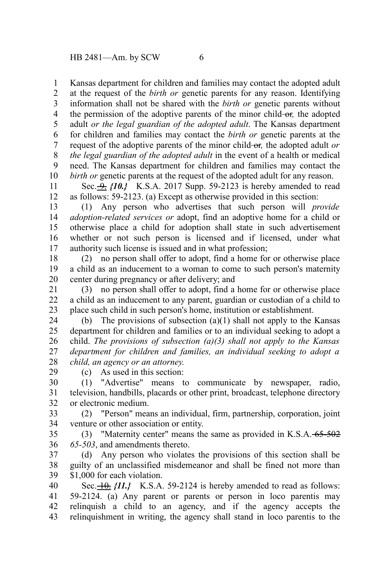Kansas department for children and families may contact the adopted adult at the request of the *birth or* genetic parents for any reason. Identifying information shall not be shared with the *birth or* genetic parents without the permission of the adoptive parents of the minor child-or, the adopted adult *or the legal guardian of the adopted adult*. The Kansas department for children and families may contact the *birth or* genetic parents at the request of the adoptive parents of the minor child or*,* the adopted adult *or the legal guardian of the adopted adult* in the event of a health or medical need. The Kansas department for children and families may contact the *birth or* genetic parents at the request of the adopted adult for any reason. 1 2 3 4 5 6 7 8 9 10

Sec.  $\rightarrow$  *{10.}* K.S.A. 2017 Supp. 59-2123 is hereby amended to read as follows: 59-2123. (a) Except as otherwise provided in this section: 11 12

(1) Any person who advertises that such person will *provide adoption-related services or* adopt, find an adoptive home for a child or otherwise place a child for adoption shall state in such advertisement whether or not such person is licensed and if licensed, under what authority such license is issued and in what profession; 13 14 15 16 17

(2) no person shall offer to adopt, find a home for or otherwise place a child as an inducement to a woman to come to such person's maternity center during pregnancy or after delivery; and 18 19 20

(3) no person shall offer to adopt, find a home for or otherwise place a child as an inducement to any parent, guardian or custodian of a child to place such child in such person's home, institution or establishment. 21 22 23

(b) The provisions of subsection  $(a)(1)$  shall not apply to the Kansas department for children and families or to an individual seeking to adopt a child. *The provisions of subsection (a)(3) shall not apply to the Kansas department for children and families, an individual seeking to adopt a child, an agency or an attorney.* 24 25 26 27 28

(c) As used in this section:

(1) "Advertise" means to communicate by newspaper, radio, television, handbills, placards or other print, broadcast, telephone directory or electronic medium. 30 31 32

(2) "Person" means an individual, firm, partnership, corporation, joint venture or other association or entity. 33 34

(3) "Maternity center" means the same as provided in K.S.A. 65-502 *65-503*, and amendments thereto. 35 36

(d) Any person who violates the provisions of this section shall be guilty of an unclassified misdemeanor and shall be fined not more than \$1,000 for each violation. 37 38 39

Sec.  $\left\{ \frac{10}{11.} \right\}$  K.S.A. 59-2124 is hereby amended to read as follows: 59-2124. (a) Any parent or parents or person in loco parentis may relinquish a child to an agency, and if the agency accepts the relinquishment in writing, the agency shall stand in loco parentis to the 40 41 42 43

29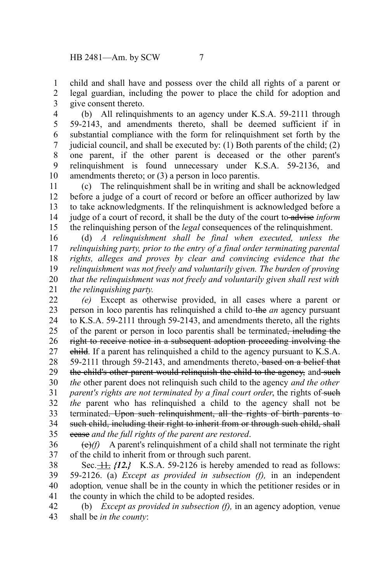child and shall have and possess over the child all rights of a parent or legal guardian, including the power to place the child for adoption and give consent thereto. 1 2 3

(b) All relinquishments to an agency under K.S.A. 59-2111 through 59-2143, and amendments thereto, shall be deemed sufficient if in substantial compliance with the form for relinquishment set forth by the judicial council, and shall be executed by: (1) Both parents of the child; (2) one parent, if the other parent is deceased or the other parent's relinquishment is found unnecessary under K.S.A. 59-2136, and amendments thereto; or (3) a person in loco parentis. 4 5 6 7 8 9 10

(c) The relinquishment shall be in writing and shall be acknowledged before a judge of a court of record or before an officer authorized by law to take acknowledgments. If the relinquishment is acknowledged before a judge of a court of record, it shall be the duty of the court to advise *inform* the relinquishing person of the *legal* consequences of the relinquishment. 11 12 13 14 15

(d) *A relinquishment shall be final when executed, unless the relinquishing party, prior to the entry of a final order terminating parental rights, alleges and proves by clear and convincing evidence that the relinquishment was not freely and voluntarily given. The burden of proving that the relinquishment was not freely and voluntarily given shall rest with the relinquishing party.* 16 17 18 19 20 21

*(e)* Except as otherwise provided, in all cases where a parent or person in loco parentis has relinquished a child to the *an* agency pursuant to K.S.A. 59-2111 through 59-2143, and amendments thereto, all the rights of the parent or person in loco parentis shall be terminated, including the right to receive notice in a subsequent adoption proceeding involving the child. If a parent has relinquished a child to the agency pursuant to K.S.A. 59-2111 through 59-2143, and amendments thereto, based on a belief that the child's other parent would relinquish the child to the agency, and such *the* other parent does not relinquish such child to the agency *and the other parent's rights are not terminated by a final court order*, the rights of such *the* parent who has relinquished a child to the agency shall not be terminated. Upon such relinquishment, all the rights of birth parents to such child, including their right to inherit from or through such child, shall cease *and the full rights of the parent are restored*. 22 23 24 25 26 27 28 29 30 31 32 33 34 35

(e)*(f)* A parent's relinquishment of a child shall not terminate the right of the child to inherit from or through such parent. 36 37

Sec.  $\frac{11}{12}$  *{12.}* K.S.A. 59-2126 is hereby amended to read as follows: 59-2126. (a) *Except as provided in subsection (f),* in an independent adoption*,* venue shall be in the county in which the petitioner resides or in the county in which the child to be adopted resides. 38 39 40 41

(b) *Except as provided in subsection (f),* in an agency adoption*,* venue shall be *in the county*: 42 43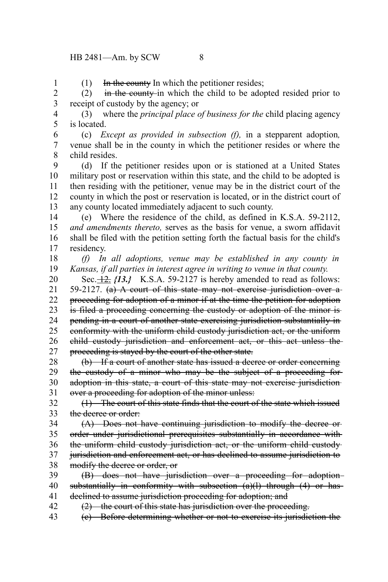1

 $(1)$  In the county In which the petitioner resides;

(2) in the county-in which the child to be adopted resided prior to receipt of custody by the agency; or 2 3

(3) where the *principal place of business for the* child placing agency is located. 4 5

(c) *Except as provided in subsection (f),* in a stepparent adoption*,* venue shall be in the county in which the petitioner resides or where the child resides. 6 7 8

(d) If the petitioner resides upon or is stationed at a United States military post or reservation within this state, and the child to be adopted is then residing with the petitioner, venue may be in the district court of the county in which the post or reservation is located, or in the district court of any county located immediately adjacent to such county. 9 10 11 12 13

(e) Where the residence of the child, as defined in K.S.A. 59-2112, *and amendments thereto,* serves as the basis for venue, a sworn affidavit shall be filed with the petition setting forth the factual basis for the child's residency. 14 15 16 17

*(f) In all adoptions, venue may be established in any county in Kansas, if all parties in interest agree in writing to venue in that county.* 18 19

Sec. $\frac{12}{12}$ ,  $\{13. \}$  K.S.A. 59-2127 is hereby amended to read as follows: 59-2127. (a) A court of this state may not exercise jurisdiction over a proceeding for adoption of a minor if at the time the petition for adoption is filed a proceeding concerning the custody or adoption of the minor is pending in a court of another state exercising jurisdiction substantially in conformity with the uniform child custody jurisdiction act, or the uniform child custody jurisdiction and enforcement act, or this act unless the proceeding is stayed by the court of the other state. 20 21 22 23 24 25 26 27

(b) If a court of another state has issued a decree or order concerning the custody of a minor who may be the subject of a proceeding foradoption in this state, a court of this state may not exercise jurisdiction over a proceeding for adoption of the minor unless: 28 29 30 31

(1) The court of this state finds that the court of the state which issued the decree or order: 32 33

(A) Does not have continuing jurisdiction to modify the decree or order under jurisdictional prerequisites substantially in accordance with the uniform child custody jurisdiction act, or the uniform child custody jurisdiction and enforcement act, or has declined to assume jurisdiction to modify the decree or order, or 34 35 36 37 38

(B) does not have jurisdiction over a proceeding for adoption substantially in conformity with subsection (a)(1) through (4) or hasdeclined to assume jurisdiction proceeding for adoption; and 39 40 41

(2) the court of this state has jurisdiction over the proceeding. 42

(c) Before determining whether or not to exercise its jurisdiction the 43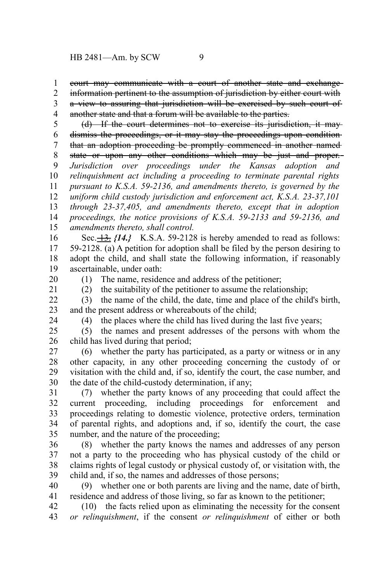court may communicate with a court of another state and exchange 1

information pertinent to the assumption of jurisdiction by either court with 2

a view to assuring that jurisdiction will be exercised by such court of another state and that a forum will be available to the parties. 3 4

(d) If the court determines not to exercise its jurisdiction, it may dismiss the proceedings, or it may stay the proceedings upon conditionthat an adoption proceeding be promptly commenced in another named state or upon any other conditions which may be just and proper. *Jurisdiction over proceedings under the Kansas adoption and relinquishment act including a proceeding to terminate parental rights pursuant to K.S.A. 59-2136, and amendments thereto, is governed by the* 5 6 7 8 9 10 11

*uniform child custody jurisdiction and enforcement act, K.S.A. 23-37,101 through 23-37,405, and amendments thereto, except that in adoption proceedings, the notice provisions of K.S.A. 59-2133 and 59-2136, and amendments thereto, shall control.* 12 13 14 15

Sec.  $\overline{13}$ . *{14.}* K.S.A. 59-2128 is hereby amended to read as follows: 59-2128. (a) A petition for adoption shall be filed by the person desiring to adopt the child, and shall state the following information, if reasonably ascertainable, under oath: 16 17 18 19

20 21 (1) The name, residence and address of the petitioner;

(2) the suitability of the petitioner to assume the relationship;

(3) the name of the child, the date, time and place of the child's birth, and the present address or whereabouts of the child; 22 23

24

(4) the places where the child has lived during the last five years;

(5) the names and present addresses of the persons with whom the child has lived during that period; 25 26

(6) whether the party has participated, as a party or witness or in any other capacity, in any other proceeding concerning the custody of or visitation with the child and, if so, identify the court, the case number, and the date of the child-custody determination, if any; 27 28 29 30

(7) whether the party knows of any proceeding that could affect the current proceeding, including proceedings for enforcement and proceedings relating to domestic violence, protective orders, termination of parental rights, and adoptions and, if so, identify the court, the case number, and the nature of the proceeding; 31 32 33 34 35

(8) whether the party knows the names and addresses of any person not a party to the proceeding who has physical custody of the child or claims rights of legal custody or physical custody of, or visitation with, the child and, if so, the names and addresses of those persons; 36 37 38 39

(9) whether one or both parents are living and the name, date of birth, residence and address of those living, so far as known to the petitioner; 40 41

(10) the facts relied upon as eliminating the necessity for the consent *or relinquishment*, if the consent *or relinquishment* of either or both 42 43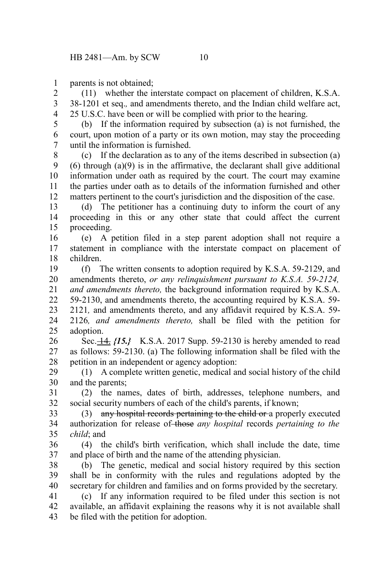parents is not obtained; 1

(11) whether the interstate compact on placement of children, K.S.A. 38-1201 et seq.*,* and amendments thereto, and the Indian child welfare act, 25 U.S.C. have been or will be complied with prior to the hearing. 2 3 4

5

(b) If the information required by subsection (a) is not furnished, the court, upon motion of a party or its own motion, may stay the proceeding until the information is furnished. 6 7

(c) If the declaration as to any of the items described in subsection (a) (6) through (a)(9) is in the affirmative, the declarant shall give additional information under oath as required by the court. The court may examine the parties under oath as to details of the information furnished and other matters pertinent to the court's jurisdiction and the disposition of the case. 8 9 10 11 12

(d) The petitioner has a continuing duty to inform the court of any proceeding in this or any other state that could affect the current proceeding. 13 14 15

(e) A petition filed in a step parent adoption shall not require a statement in compliance with the interstate compact on placement of children. 16 17 18

(f) The written consents to adoption required by K.S.A. 59-2129, and amendments thereto, *or any relinquishment pursuant to K.S.A. 59-2124, and amendments thereto,* the background information required by K.S.A. 59-2130, and amendments thereto, the accounting required by K.S.A. 59- 2121*,* and amendments thereto, and any affidavit required by K.S.A. 59- 2126*, and amendments thereto,* shall be filed with the petition for adoption. 19 20 21 22 23 24 25

Sec.  $\frac{14}{15}$  (15.) K.S.A. 2017 Supp. 59-2130 is hereby amended to read as follows: 59-2130. (a) The following information shall be filed with the petition in an independent or agency adoption: 26 27 28

(1) A complete written genetic, medical and social history of the child and the parents; 29 30

(2) the names, dates of birth, addresses, telephone numbers, and social security numbers of each of the child's parents, if known; 31 32

(3) any hospital records pertaining to the child or a properly executed authorization for release of those *any hospital* records *pertaining to the child*; and 33 34 35

(4) the child's birth verification, which shall include the date, time and place of birth and the name of the attending physician. 36 37

(b) The genetic, medical and social history required by this section shall be in conformity with the rules and regulations adopted by the secretary for children and families and on forms provided by the secretary. 38 39 40

(c) If any information required to be filed under this section is not available, an affidavit explaining the reasons why it is not available shall be filed with the petition for adoption. 41 42 43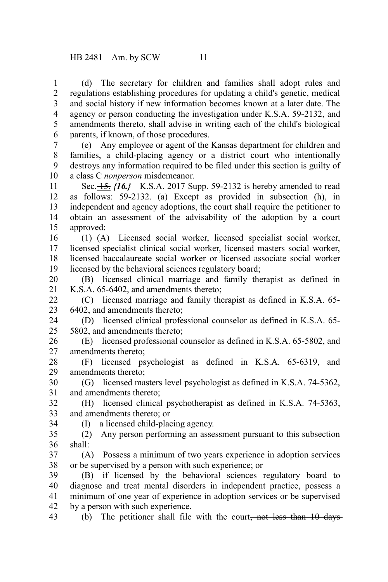(d) The secretary for children and families shall adopt rules and regulations establishing procedures for updating a child's genetic, medical and social history if new information becomes known at a later date. The agency or person conducting the investigation under K.S.A. 59-2132, and amendments thereto, shall advise in writing each of the child's biological parents, if known, of those procedures. 1 2 3 4 5 6

(e) Any employee or agent of the Kansas department for children and families, a child-placing agency or a district court who intentionally destroys any information required to be filed under this section is guilty of a class C *nonperson* misdemeanor. 7 8 9 10

Sec. 15. *{16.}* K.S.A. 2017 Supp. 59-2132 is hereby amended to read as follows: 59-2132. (a) Except as provided in subsection (h), in independent and agency adoptions, the court shall require the petitioner to obtain an assessment of the advisability of the adoption by a court approved: 11 12 13 14 15

(1) (A) Licensed social worker, licensed specialist social worker, licensed specialist clinical social worker, licensed masters social worker, licensed baccalaureate social worker or licensed associate social worker licensed by the behavioral sciences regulatory board; 16 17 18 19

(B) licensed clinical marriage and family therapist as defined in K.S.A. 65-6402, and amendments thereto; 20 21

(C) licensed marriage and family therapist as defined in K.S.A. 65- 6402, and amendments thereto; 22 23

(D) licensed clinical professional counselor as defined in K.S.A. 65- 5802, and amendments thereto; 24 25

(E) licensed professional counselor as defined in K.S.A. 65-5802, and amendments thereto; 26 27

(F) licensed psychologist as defined in K.S.A. 65-6319, and amendments thereto; 28 29

(G) licensed masters level psychologist as defined in K.S.A. 74-5362, and amendments thereto; 30 31

(H) licensed clinical psychotherapist as defined in K.S.A. 74-5363, and amendments thereto; or 32 33

34

(I) a licensed child-placing agency.

(2) Any person performing an assessment pursuant to this subsection shall: 35 36

(A) Possess a minimum of two years experience in adoption services or be supervised by a person with such experience; or 37 38

(B) if licensed by the behavioral sciences regulatory board to diagnose and treat mental disorders in independent practice, possess a minimum of one year of experience in adoption services or be supervised by a person with such experience. 39 40 41 42

(b) The petitioner shall file with the court, not less than  $10$  days 43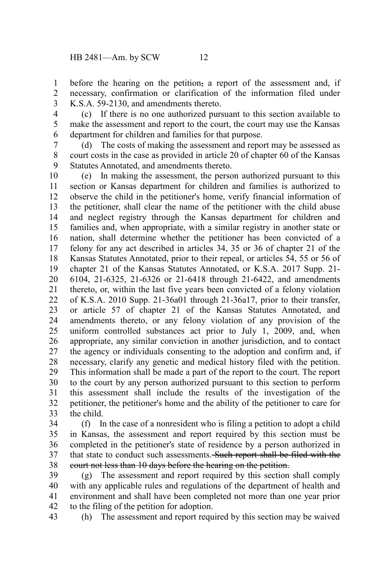before the hearing on the petition, a report of the assessment and, if necessary, confirmation or clarification of the information filed under K.S.A. 59-2130, and amendments thereto. 1 2 3

4 5

(c) If there is no one authorized pursuant to this section available to make the assessment and report to the court, the court may use the Kansas department for children and families for that purpose. 6

(d) The costs of making the assessment and report may be assessed as court costs in the case as provided in article 20 of chapter 60 of the Kansas Statutes Annotated, and amendments thereto. 7 8 9

(e) In making the assessment, the person authorized pursuant to this section or Kansas department for children and families is authorized to observe the child in the petitioner's home, verify financial information of the petitioner, shall clear the name of the petitioner with the child abuse and neglect registry through the Kansas department for children and families and, when appropriate, with a similar registry in another state or nation, shall determine whether the petitioner has been convicted of a felony for any act described in articles 34, 35 or 36 of chapter 21 of the Kansas Statutes Annotated, prior to their repeal, or articles 54, 55 or 56 of chapter 21 of the Kansas Statutes Annotated, or K.S.A. 2017 Supp. 21- 6104, 21-6325, 21-6326 or 21-6418 through 21-6422, and amendments thereto, or, within the last five years been convicted of a felony violation of K.S.A. 2010 Supp. 21-36a01 through 21-36a17, prior to their transfer, or article 57 of chapter 21 of the Kansas Statutes Annotated, and amendments thereto, or any felony violation of any provision of the uniform controlled substances act prior to July 1, 2009, and, when appropriate, any similar conviction in another jurisdiction, and to contact the agency or individuals consenting to the adoption and confirm and, if necessary, clarify any genetic and medical history filed with the petition. This information shall be made a part of the report to the court. The report to the court by any person authorized pursuant to this section to perform this assessment shall include the results of the investigation of the petitioner, the petitioner's home and the ability of the petitioner to care for the child. 10 11 12 13 14 15 16 17 18 19 20 21 22 23 24 25 26 27 28 29 30 31 32 33

(f) In the case of a nonresident who is filing a petition to adopt a child in Kansas, the assessment and report required by this section must be completed in the petitioner's state of residence by a person authorized in that state to conduct such assessments. Such report shall be filed with the court not less than 10 days before the hearing on the petition. 34 35 36 37 38

(g) The assessment and report required by this section shall comply with any applicable rules and regulations of the department of health and environment and shall have been completed not more than one year prior to the filing of the petition for adoption. 39 40 41 42

(h) The assessment and report required by this section may be waived 43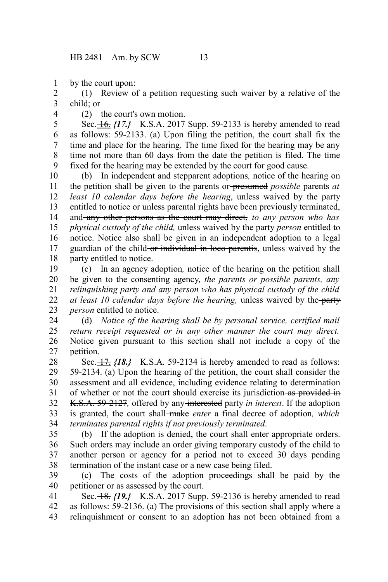by the court upon: 1

(1) Review of a petition requesting such waiver by a relative of the child; or 2 3

4

(2) the court's own motion.

Sec. 16. *{17.}* K.S.A. 2017 Supp. 59-2133 is hereby amended to read as follows: 59-2133. (a) Upon filing the petition, the court shall fix the time and place for the hearing. The time fixed for the hearing may be any time not more than 60 days from the date the petition is filed. The time fixed for the hearing may be extended by the court for good cause. 5 6 7 8 9

(b) In independent and stepparent adoptions*,* notice of the hearing on the petition shall be given to the parents or presumed *possible* parents *at least 10 calendar days before the hearing*, unless waived by the party entitled to notice or unless parental rights have been previously terminated, and any other persons as the court may direct, *to any person who has physical custody of the child,* unless waived by the party *person* entitled to notice. Notice also shall be given in an independent adoption to a legal guardian of the child-or individual in loco parentis, unless waived by the party entitled to notice. 10 11 12 13 14 15 16 17 18

(c) In an agency adoption*,* notice of the hearing on the petition shall be given to the consenting agency, *the parents or possible parents, any relinquishing party and any person who has physical custody of the child at least 10 calendar days before the hearing, unless waived by the party person* entitled to notice. 19 20 21 22 23

(d) *Notice of the hearing shall be by personal service, certified mail return receipt requested or in any other manner the court may direct.* Notice given pursuant to this section shall not include a copy of the petition. 24 25 26 27

Sec.  $\frac{17}{7}$  *{18.}* K.S.A. 59-2134 is hereby amended to read as follows: 59-2134. (a) Upon the hearing of the petition, the court shall consider the assessment and all evidence, including evidence relating to determination of whether or not the court should exercise its jurisdiction as provided in K.S.A. 59-2127*,* offered by any interested party *in interest*. If the adoption is granted, the court shall make *enter* a final decree of adoption*, which terminates parental rights if not previously terminated*. 28 29 30 31 32 33 34

(b) If the adoption is denied, the court shall enter appropriate orders. Such orders may include an order giving temporary custody of the child to another person or agency for a period not to exceed 30 days pending termination of the instant case or a new case being filed. 35 36 37 38

(c) The costs of the adoption proceedings shall be paid by the petitioner or as assessed by the court. 39 40

Sec. **18.**  $\{19.7\}$  K.S.A. 2017 Supp. 59-2136 is hereby amended to read as follows: 59-2136. (a) The provisions of this section shall apply where a relinquishment or consent to an adoption has not been obtained from a 41 42 43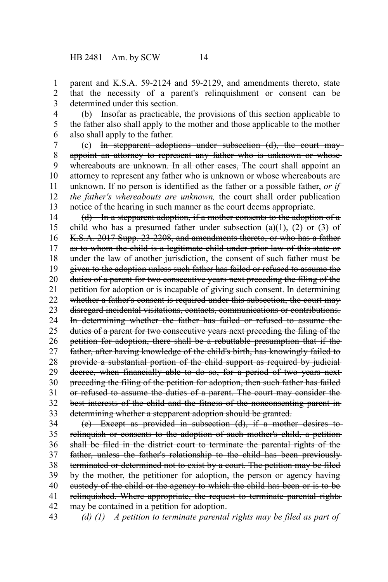parent and K.S.A. 59-2124 and 59-2129, and amendments thereto, state that the necessity of a parent's relinquishment or consent can be determined under this section. 1 2 3

(b) Insofar as practicable, the provisions of this section applicable to the father also shall apply to the mother and those applicable to the mother also shall apply to the father. 4 5 6

(c) In stepparent adoptions under subsection (d), the court may appoint an attorney to represent any father who is unknown or whosewhereabouts are unknown. In all other cases, The court shall appoint an attorney to represent any father who is unknown or whose whereabouts are unknown. If no person is identified as the father or a possible father, *or if the father's whereabouts are unknown,* the court shall order publication notice of the hearing in such manner as the court deems appropriate. 7 8 9 10 11 12 13

(d) In a stepparent adoption, if a mother consents to the adoption of a child who has a presumed father under subsection  $(a)(1)$ ,  $(2)$  or  $(3)$  of K.S.A. 2017 Supp. 23-2208, and amendments thereto, or who has a father as to whom the child is a legitimate child under prior law of this state or under the law of another jurisdiction, the consent of such father must be given to the adoption unless such father has failed or refused to assume the duties of a parent for two consecutive years next preceding the filing of the petition for adoption or is incapable of giving such consent. In determining whether a father's consent is required under this subsection, the court may disregard incidental visitations, contacts, communications or contributions. In determining whether the father has failed or refused to assume the duties of a parent for two consecutive years next preceding the filing of the petition for adoption, there shall be a rebuttable presumption that if the father, after having knowledge of the child's birth, has knowingly failed to provide a substantial portion of the child support as required by judicial decree, when financially able to do so, for a period of two years nextpreceding the filing of the petition for adoption, then such father has failed or refused to assume the duties of a parent. The court may consider the best interests of the child and the fitness of the nonconsenting parent in determining whether a stepparent adoption should be granted. 14 15 16 17 18 19 20 21 22 23 24 25 26 27 28 29 30 31 32 33

(e) Except as provided in subsection (d), if a mother desires to relinquish or consents to the adoption of such mother's child, a petition shall be filed in the district court to terminate the parental rights of the father, unless the father's relationship to the child has been previously terminated or determined not to exist by a court. The petition may be filed by the mother, the petitioner for adoption, the person or agency having custody of the child or the agency to which the child has been or is to be relinquished. Where appropriate, the request to terminate parental rights may be contained in a petition for adoption. 34 35 36 37 38 39 40 41 42

*(d) (1) A petition to terminate parental rights may be filed as part of* 43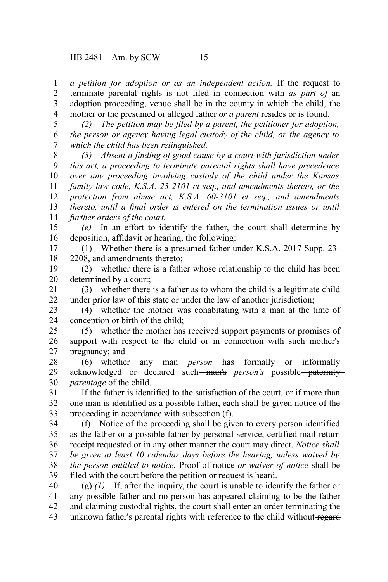*a petition for adoption or as an independent action.* If the request to terminate parental rights is not filed in connection with *as part of* an adoption proceeding, venue shall be in the county in which the child, the mother or the presumed or alleged father *or a parent* resides or is found. 1 2 3 4

*(2) The petition may be filed by a parent, the petitioner for adoption, the person or agency having legal custody of the child, or the agency to which the child has been relinquished.* 5 6 7

*(3) Absent a finding of good cause by a court with jurisdiction under this act, a proceeding to terminate parental rights shall have precedence over any proceeding involving custody of the child under the Kansas family law code, K.S.A. 23-2101 et seq., and amendments thereto, or the protection from abuse act, K.S.A. 60-3101 et seq., and amendments thereto, until a final order is entered on the termination issues or until further orders of the court.* 8 9 10 11 12 13 14

*(e)* In an effort to identify the father, the court shall determine by deposition, affidavit or hearing, the following: 15 16

(1) Whether there is a presumed father under K.S.A. 2017 Supp. 23- 2208, and amendments thereto; 17 18

(2) whether there is a father whose relationship to the child has been determined by a court; 19 20

(3) whether there is a father as to whom the child is a legitimate child under prior law of this state or under the law of another jurisdiction; 21 22

(4) whether the mother was cohabitating with a man at the time of conception or birth of the child; 23 24

(5) whether the mother has received support payments or promises of support with respect to the child or in connection with such mother's pregnancy; and 25 26 27

(6) whether any man *person* has formally or informally acknowledged or declared such man's *person's* possible paternity *parentage* of the child. 28 29 30

If the father is identified to the satisfaction of the court, or if more than one man is identified as a possible father, each shall be given notice of the proceeding in accordance with subsection (f). 31 32 33

(f) Notice of the proceeding shall be given to every person identified as the father or a possible father by personal service, certified mail return receipt requested or in any other manner the court may direct. *Notice shall be given at least 10 calendar days before the hearing, unless waived by the person entitled to notice.* Proof of notice *or waiver of notice* shall be filed with the court before the petition or request is heard. 34 35 36 37 38 39

(g) *(1)* If, after the inquiry, the court is unable to identify the father or any possible father and no person has appeared claiming to be the father and claiming custodial rights, the court shall enter an order terminating the unknown father's parental rights with reference to the child without regard 40 41 42 43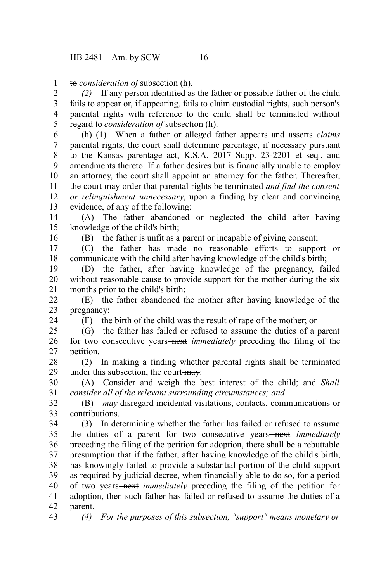to *consideration of* subsection (h). 1

*(2)* If any person identified as the father or possible father of the child fails to appear or, if appearing, fails to claim custodial rights, such person's parental rights with reference to the child shall be terminated without regard to *consideration of* subsection (h). 2 3 4 5

(h) (1) When a father or alleged father appears and asserts *claims* parental rights, the court shall determine parentage, if necessary pursuant to the Kansas parentage act, K.S.A. 2017 Supp. 23-2201 et seq*.*, and amendments thereto. If a father desires but is financially unable to employ an attorney, the court shall appoint an attorney for the father. Thereafter, the court may order that parental rights be terminated *and find the consent or relinquishment unnecessary*, upon a finding by clear and convincing evidence, of any of the following: 6 7 8 9 10 11 12 13

(A) The father abandoned or neglected the child after having knowledge of the child's birth; 14 15

16

(B) the father is unfit as a parent or incapable of giving consent;

(C) the father has made no reasonable efforts to support or communicate with the child after having knowledge of the child's birth; 17 18

(D) the father, after having knowledge of the pregnancy, failed without reasonable cause to provide support for the mother during the six months prior to the child's birth; 19 20 21

(E) the father abandoned the mother after having knowledge of the pregnancy; 22 23

24

(F) the birth of the child was the result of rape of the mother; or

(G) the father has failed or refused to assume the duties of a parent for two consecutive years<del>-next</del> *immediately* preceding the filing of the petition. 25 26 27

(2) In making a finding whether parental rights shall be terminated under this subsection, the court-may: 28 29

(A) Consider and weigh the best interest of the child; and *Shall consider all of the relevant surrounding circumstances; and* 30 31

(B) *may* disregard incidental visitations, contacts, communications or contributions. 32 33

(3) In determining whether the father has failed or refused to assume the duties of a parent for two consecutive years—next *immediately* preceding the filing of the petition for adoption, there shall be a rebuttable presumption that if the father, after having knowledge of the child's birth, has knowingly failed to provide a substantial portion of the child support as required by judicial decree, when financially able to do so, for a period of two years next *immediately* preceding the filing of the petition for adoption, then such father has failed or refused to assume the duties of a parent. 34 35 36 37 38 39 40 41 42

43

*(4) For the purposes of this subsection, "support" means monetary or*